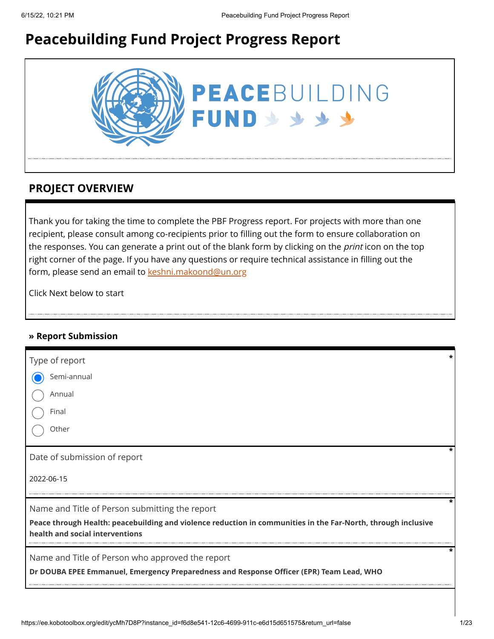# **Peacebuilding Fund Project Progress Report**



### **PROJECT OVERVIEW**

Thank you for taking the time to complete the PBF Progress report. For projects with more than one recipient, please consult among co-recipients prior to filling out the form to ensure collaboration on the responses. You can generate a print out of the blank form by clicking on the *print* icon on the top right corner of the page. If you have any questions or require technical assistance in filling out the form, please send an email to [keshni.makoond@un.org](https://ee.kobotoolbox.org/edit/keshni.makoond@un.org)

Click Next below to start

#### **» Report Submission**

| Type of report                                                                                                                                   |  |
|--------------------------------------------------------------------------------------------------------------------------------------------------|--|
| Semi-annual                                                                                                                                      |  |
| Annual                                                                                                                                           |  |
| Final                                                                                                                                            |  |
| Other                                                                                                                                            |  |
| Date of submission of report                                                                                                                     |  |
| 2022-06-15                                                                                                                                       |  |
| Name and Title of Person submitting the report                                                                                                   |  |
| Peace through Health: peacebuilding and violence reduction in communities in the Far-North, through inclusive<br>health and social interventions |  |
| Name and Title of Person who approved the report<br>Dr DOUBA EPEE Emmanuel, Emergency Preparedness and Response Officer (EPR) Team Lead, WHO     |  |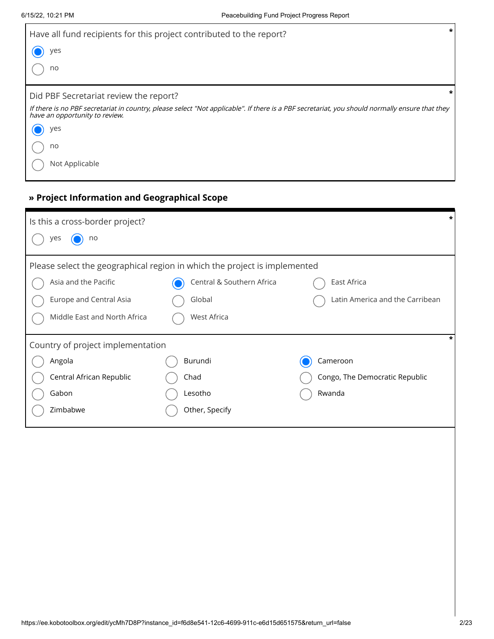| $\star$<br>Have all fund recipients for this project contributed to the report?                                                                                                  |  |  |  |  |  |
|----------------------------------------------------------------------------------------------------------------------------------------------------------------------------------|--|--|--|--|--|
| yes                                                                                                                                                                              |  |  |  |  |  |
| no                                                                                                                                                                               |  |  |  |  |  |
| Did PBF Secretariat review the report?                                                                                                                                           |  |  |  |  |  |
| If there is no PBF secretariat in country, please select "Not applicable". If there is a PBF secretariat, you should normally ensure that they<br>have an opportunity to review. |  |  |  |  |  |
| yes                                                                                                                                                                              |  |  |  |  |  |
| no                                                                                                                                                                               |  |  |  |  |  |
| Not Applicable                                                                                                                                                                   |  |  |  |  |  |

### **» Project Information and Geographical Scope**

| *<br>Is this a cross-border project?<br>yes<br>no                         |                           |                                 |  |  |  |  |
|---------------------------------------------------------------------------|---------------------------|---------------------------------|--|--|--|--|
|                                                                           |                           |                                 |  |  |  |  |
| Please select the geographical region in which the project is implemented |                           |                                 |  |  |  |  |
| Asia and the Pacific                                                      | Central & Southern Africa | East Africa                     |  |  |  |  |
| Europe and Central Asia                                                   | Global                    | Latin America and the Carribean |  |  |  |  |
| Middle East and North Africa                                              | <b>West Africa</b>        |                                 |  |  |  |  |
| Country of project implementation                                         |                           |                                 |  |  |  |  |
| Angola                                                                    | Burundi                   | Cameroon                        |  |  |  |  |
| Central African Republic                                                  | Chad                      | Congo, The Democratic Republic  |  |  |  |  |
| Gabon                                                                     | Lesotho                   | Rwanda                          |  |  |  |  |
| Zimbabwe                                                                  | Other, Specify            |                                 |  |  |  |  |
|                                                                           |                           |                                 |  |  |  |  |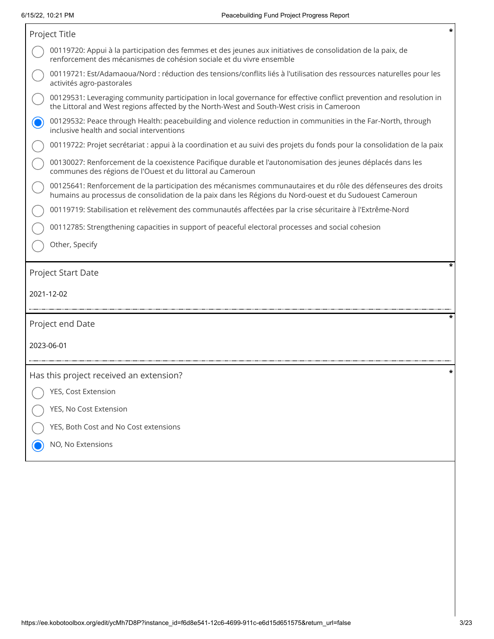| Project Title                                                                                                                                                                                                             | * |
|---------------------------------------------------------------------------------------------------------------------------------------------------------------------------------------------------------------------------|---|
| 00119720: Appui à la participation des femmes et des jeunes aux initiatives de consolidation de la paix, de<br>renforcement des mécanismes de cohésion sociale et du vivre ensemble                                       |   |
| 00119721: Est/Adamaoua/Nord : réduction des tensions/conflits liés à l'utilisation des ressources naturelles pour les<br>activités agro-pastorales                                                                        |   |
| 00129531: Leveraging community participation in local governance for effective conflict prevention and resolution in<br>the Littoral and West regions affected by the North-West and South-West crisis in Cameroon        |   |
| 00129532: Peace through Health: peacebuilding and violence reduction in communities in the Far-North, through<br>inclusive health and social interventions                                                                |   |
| 00119722: Projet secrétariat : appui à la coordination et au suivi des projets du fonds pour la consolidation de la paix                                                                                                  |   |
| 00130027: Renforcement de la coexistence Pacifique durable et l'autonomisation des jeunes déplacés dans les<br>communes des régions de l'Ouest et du littoral au Cameroun                                                 |   |
| 00125641: Renforcement de la participation des mécanismes communautaires et du rôle des défenseures des droits<br>humains au processus de consolidation de la paix dans les Régions du Nord-ouest et du Sudouest Cameroun |   |
| 00119719: Stabilisation et relèvement des communautés affectées par la crise sécuritaire à l'Extrême-Nord                                                                                                                 |   |
| 00112785: Strengthening capacities in support of peaceful electoral processes and social cohesion                                                                                                                         |   |
| Other, Specify                                                                                                                                                                                                            |   |
| Project Start Date                                                                                                                                                                                                        |   |
| 2021-12-02                                                                                                                                                                                                                |   |
| Project end Date                                                                                                                                                                                                          |   |
| 2023-06-01                                                                                                                                                                                                                |   |
| Has this project received an extension?                                                                                                                                                                                   |   |
| YES, Cost Extension                                                                                                                                                                                                       |   |
| YES, No Cost Extension                                                                                                                                                                                                    |   |
| YES, Both Cost and No Cost extensions                                                                                                                                                                                     |   |
| NO, No Extensions                                                                                                                                                                                                         |   |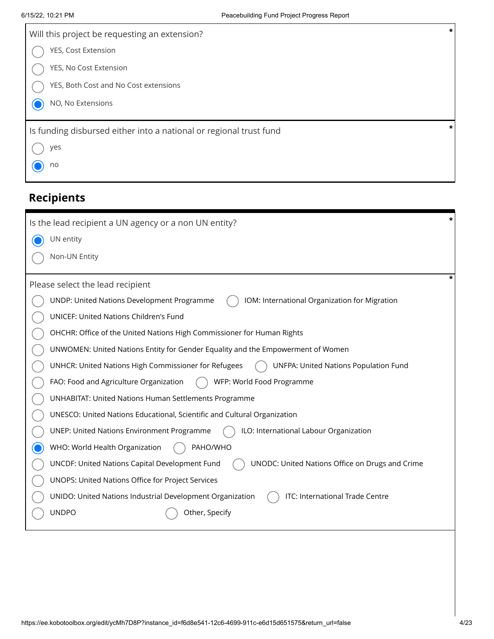| Will this project be requesting an extension?                      | $\pmb{\ast}$ |
|--------------------------------------------------------------------|--------------|
| YES, Cost Extension                                                |              |
| YES, No Cost Extension                                             |              |
| YES, Both Cost and No Cost extensions                              |              |
| NO, No Extensions                                                  |              |
| Is funding disbursed either into a national or regional trust fund | *            |
| yes                                                                |              |
| no                                                                 |              |
|                                                                    |              |

## **Recipients**

| *<br>Is the lead recipient a UN agency or a non UN entity?                                        |
|---------------------------------------------------------------------------------------------------|
| UN entity                                                                                         |
| Non-UN Entity                                                                                     |
| Please select the lead recipient                                                                  |
| UNDP: United Nations Development Programme<br>IOM: International Organization for Migration       |
| <b>UNICEF: United Nations Children's Fund</b>                                                     |
| OHCHR: Office of the United Nations High Commissioner for Human Rights                            |
| UNWOMEN: United Nations Entity for Gender Equality and the Empowerment of Women                   |
| UNHCR: United Nations High Commissioner for Refugees<br>UNFPA: United Nations Population Fund     |
| WFP: World Food Programme<br>FAO: Food and Agriculture Organization                               |
| <b>UNHABITAT: United Nations Human Settlements Programme</b>                                      |
| UNESCO: United Nations Educational, Scientific and Cultural Organization                          |
| ILO: International Labour Organization<br><b>UNEP: United Nations Environment Programme</b>       |
| PAHO/WHO<br>WHO: World Health Organization                                                        |
| UNODC: United Nations Office on Drugs and Crime<br>UNCDF: United Nations Capital Development Fund |
| UNOPS: United Nations Office for Project Services                                                 |
| ITC: International Trade Centre<br>UNIDO: United Nations Industrial Development Organization      |
| <b>UNDPO</b><br>Other, Specify                                                                    |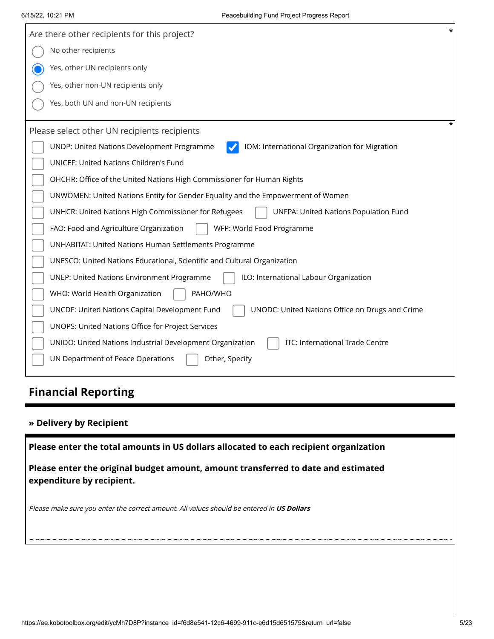| $\star$<br>Are there other recipients for this project?                                              |
|------------------------------------------------------------------------------------------------------|
| No other recipients                                                                                  |
| Yes, other UN recipients only                                                                        |
| Yes, other non-UN recipients only                                                                    |
| Yes, both UN and non-UN recipients                                                                   |
| *<br>Please select other UN recipients recipients                                                    |
| UNDP: United Nations Development Programme<br>IOM: International Organization for Migration          |
| <b>UNICEF: United Nations Children's Fund</b>                                                        |
| OHCHR: Office of the United Nations High Commissioner for Human Rights                               |
| UNWOMEN: United Nations Entity for Gender Equality and the Empowerment of Women                      |
| UNHCR: United Nations High Commissioner for Refugees<br><b>UNFPA: United Nations Population Fund</b> |
| WFP: World Food Programme<br>FAO: Food and Agriculture Organization                                  |
| <b>UNHABITAT: United Nations Human Settlements Programme</b>                                         |
| UNESCO: United Nations Educational, Scientific and Cultural Organization                             |
| <b>UNEP: United Nations Environment Programme</b><br>ILO: International Labour Organization          |
| PAHO/WHO<br>WHO: World Health Organization                                                           |
| UNCDF: United Nations Capital Development Fund<br>UNODC: United Nations Office on Drugs and Crime    |
| UNOPS: United Nations Office for Project Services                                                    |
| ITC: International Trade Centre<br>UNIDO: United Nations Industrial Development Organization         |
| UN Department of Peace Operations<br>Other, Specify                                                  |

## **Financial Reporting**

#### **» Delivery by Recipient**

**Please enter the total amounts in US dollars allocated to each recipient organization**

**Please enter the original budget amount, amount transferred to date and estimated expenditure by recipient.**

Please make sure you enter the correct amount. All values should be entered in **US Dollars**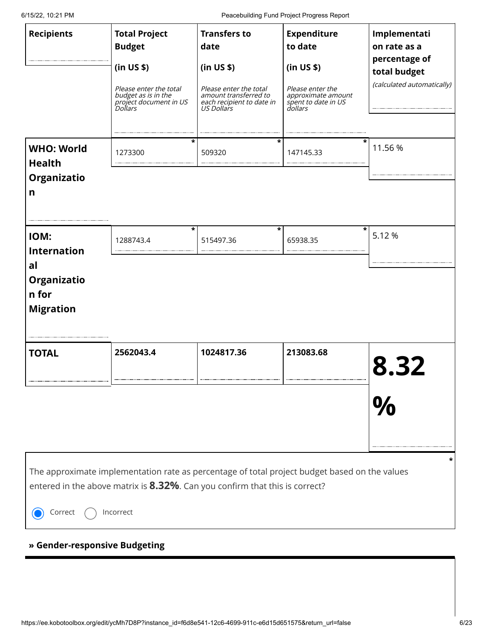6/15/22, 10:21 PM Peacebuilding Fund Project Progress Report

| <b>Recipients</b>                                                                   | <b>Total Project</b><br><b>Budget</b><br>(in US \$)<br>Please enter the total<br>budget as is in the<br>project document in US<br><i>Dollars</i><br>*                                     | <b>Transfers to</b><br>date<br>(in US \$)<br>Please enter the total<br>amount transferred to<br>each recipient to date in<br>US Dollars<br>* | <b>Expenditure</b><br>to date<br>(in US \$)<br>Please enter the<br>approximate amount<br>spent to date in US<br>dollars | Implementati<br>on rate as a<br>percentage of<br>total budget<br>(calculated automatically) |
|-------------------------------------------------------------------------------------|-------------------------------------------------------------------------------------------------------------------------------------------------------------------------------------------|----------------------------------------------------------------------------------------------------------------------------------------------|-------------------------------------------------------------------------------------------------------------------------|---------------------------------------------------------------------------------------------|
| <b>WHO: World</b><br><b>Health</b><br>Organizatio<br>n                              | 1273300                                                                                                                                                                                   | 509320                                                                                                                                       | 147145.33                                                                                                               | 11.56 %                                                                                     |
| IOM:<br><b>Internation</b><br>al<br><b>Organizatio</b><br>n for<br><b>Migration</b> | $\star$<br>1288743.4                                                                                                                                                                      | *<br>515497.36                                                                                                                               | $\ast$<br>65938.35                                                                                                      | 5.12 %                                                                                      |
| <b>TOTAL</b>                                                                        | 2562043.4                                                                                                                                                                                 | 1024817.36                                                                                                                                   | 213083.68                                                                                                               | 8.32                                                                                        |
| Correct                                                                             | The approximate implementation rate as percentage of total project budget based on the values<br>entered in the above matrix is 8.32%. Can you confirm that this is correct?<br>Incorrect |                                                                                                                                              |                                                                                                                         |                                                                                             |

### **» Gender-responsive Budgeting**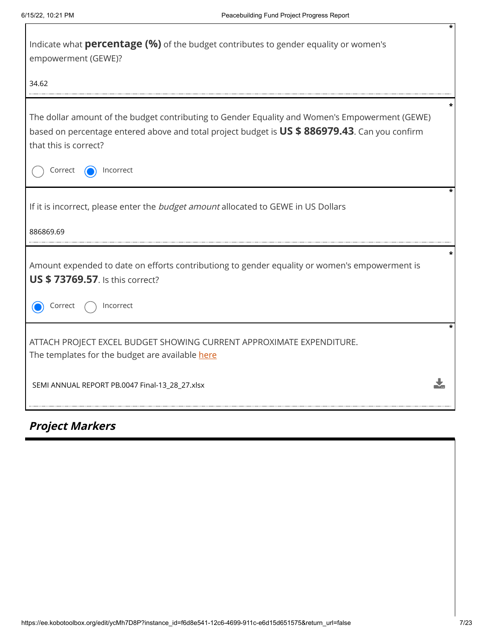| Indicate what <b>percentage (%)</b> of the budget contributes to gender equality or women's<br>empowerment (GEWE)?                                                                                                        |  |
|---------------------------------------------------------------------------------------------------------------------------------------------------------------------------------------------------------------------------|--|
| 34.62                                                                                                                                                                                                                     |  |
| The dollar amount of the budget contributing to Gender Equality and Women's Empowerment (GEWE)<br>based on percentage entered above and total project budget is US \$ 886979.43. Can you confirm<br>that this is correct? |  |
| Correct<br>Incorrect                                                                                                                                                                                                      |  |
| If it is incorrect, please enter the budget amount allocated to GEWE in US Dollars                                                                                                                                        |  |
| 886869.69                                                                                                                                                                                                                 |  |
| Amount expended to date on efforts contributiong to gender equality or women's empowerment is<br><b>US \$73769.57.</b> Is this correct?                                                                                   |  |
| Incorrect<br>Correct                                                                                                                                                                                                      |  |
| ATTACH PROJECT EXCEL BUDGET SHOWING CURRENT APPROXIMATE EXPENDITURE.<br>The templates for the budget are available here                                                                                                   |  |
| SEMI ANNUAL REPORT PB.0047 Final-13_28_27.xlsx                                                                                                                                                                            |  |

## **Project Markers**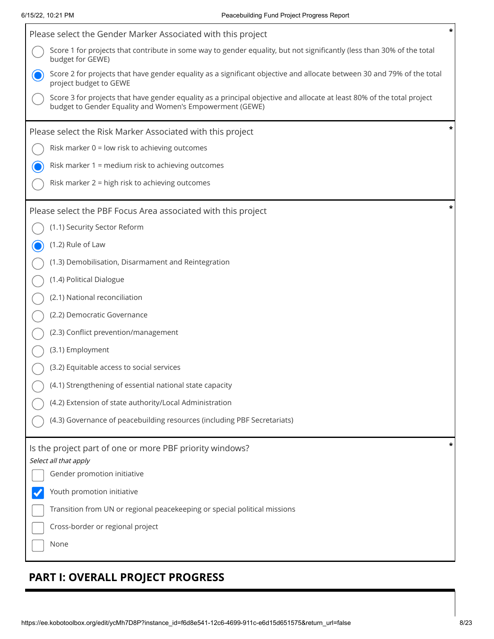Г

| Please select the Gender Marker Associated with this project                                                                                                                       | * |
|------------------------------------------------------------------------------------------------------------------------------------------------------------------------------------|---|
| Score 1 for projects that contribute in some way to gender equality, but not significantly (less than 30% of the total<br>budget for GEWE)                                         |   |
| Score 2 for projects that have gender equality as a significant objective and allocate between 30 and 79% of the total<br>project budget to GEWE                                   |   |
| Score 3 for projects that have gender equality as a principal objective and allocate at least 80% of the total project<br>budget to Gender Equality and Women's Empowerment (GEWE) |   |
| Please select the Risk Marker Associated with this project                                                                                                                         | * |
| Risk marker 0 = low risk to achieving outcomes                                                                                                                                     |   |
| Risk marker 1 = medium risk to achieving outcomes                                                                                                                                  |   |
| Risk marker 2 = high risk to achieving outcomes                                                                                                                                    |   |
| Please select the PBF Focus Area associated with this project                                                                                                                      | * |
| (1.1) Security Sector Reform                                                                                                                                                       |   |
| (1.2) Rule of Law                                                                                                                                                                  |   |
| (1.3) Demobilisation, Disarmament and Reintegration                                                                                                                                |   |
| (1.4) Political Dialogue                                                                                                                                                           |   |
| (2.1) National reconciliation                                                                                                                                                      |   |
| (2.2) Democratic Governance                                                                                                                                                        |   |
| (2.3) Conflict prevention/management                                                                                                                                               |   |
| (3.1) Employment                                                                                                                                                                   |   |
| (3.2) Equitable access to social services                                                                                                                                          |   |
| (4.1) Strengthening of essential national state capacity                                                                                                                           |   |
| (4.2) Extension of state authority/Local Administration                                                                                                                            |   |
| (4.3) Governance of peacebuilding resources (including PBF Secretariats)                                                                                                           |   |
| Is the project part of one or more PBF priority windows?<br>Select all that apply                                                                                                  | * |
| Gender promotion initiative                                                                                                                                                        |   |
| Youth promotion initiative                                                                                                                                                         |   |
| Transition from UN or regional peacekeeping or special political missions                                                                                                          |   |
| Cross-border or regional project                                                                                                                                                   |   |
| None                                                                                                                                                                               |   |
|                                                                                                                                                                                    |   |

## **PART I: OVERALL PROJECT PROGRESS**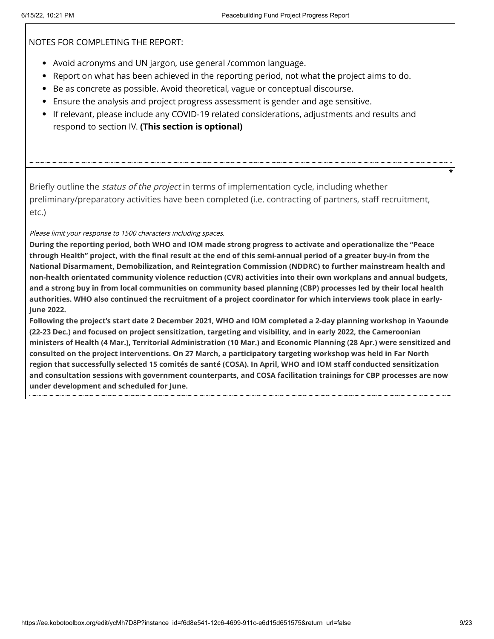NOTES FOR COMPLETING THE REPORT:

- Avoid acronyms and UN jargon, use general /common language.
- Report on what has been achieved in the reporting period, not what the project aims to do.
- Be as concrete as possible. Avoid theoretical, vague or conceptual discourse.
- Ensure the analysis and project progress assessment is gender and age sensitive.
- If relevant, please include any COVID-19 related considerations, adjustments and results and respond to section IV. **(This section is optional)**

Briefly outline the *status of the project* in terms of implementation cycle, including whether preliminary/preparatory activities have been completed (i.e. contracting of partners, staff recruitment, etc.)

#### Please limit your response to 1500 characters including spaces.

**During the reporting period, both WHO and IOM made strong progress to activate and operationalize the "Peace through Health" project, with the final result at the end of this semi-annual period of a greater buy-in from the National Disarmament, Demobilization, and Reintegration Commission (NDDRC) to further mainstream health and non-health orientated community violence reduction (CVR) activities into their own workplans and annual budgets, and a strong buy in from local communities on community based planning (CBP) processes led by their local health authorities. WHO also continued the recruitment of a project coordinator for which interviews took place in early-June 2022.** 

**Following the project's start date 2 December 2021, WHO and IOM completed a 2-day planning workshop in Yaounde (22-23 Dec.) and focused on project sensitization, targeting and visibility, and in early 2022, the Cameroonian ministers of Health (4 Mar.), Territorial Administration (10 Mar.) and Economic Planning (28 Apr.) were sensitized and consulted on the project interventions. On 27 March, a participatory targeting workshop was held in Far North region that successfully selected 15 comités de santé (COSA). In April, WHO and IOM staff conducted sensitization and consultation sessions with government counterparts, and COSA facilitation trainings for CBP processes are now under development and scheduled for June.**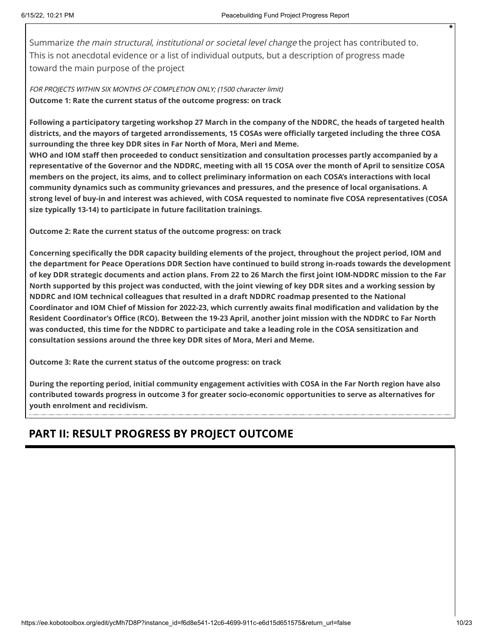Summarize the main structural, institutional or societal level change the project has contributed to. This is not anecdotal evidence or a list of individual outputs, but a description of progress made toward the main purpose of the project

FOR PROJECTS WITHIN SIX MONTHS OF COMPLETION ONLY; (1500 character limit) **Outcome 1: Rate the current status of the outcome progress: on track**

**Following a participatory targeting workshop 27 March in the company of the NDDRC, the heads of targeted health districts, and the mayors of targeted arrondissements, 15 COSAs were officially targeted including the three COSA surrounding the three key DDR sites in Far North of Mora, Meri and Meme.** 

**WHO and IOM staff then proceeded to conduct sensitization and consultation processes partly accompanied by a representative of the Governor and the NDDRC, meeting with all 15 COSA over the month of April to sensitize COSA members on the project, its aims, and to collect preliminary information on each COSA's interactions with local community dynamics such as community grievances and pressures, and the presence of local organisations. A strong level of buy-in and interest was achieved, with COSA requested to nominate five COSA representatives (COSA size typically 13-14) to participate in future facilitation trainings.** 

**Outcome 2: Rate the current status of the outcome progress: on track**

**Concerning specifically the DDR capacity building elements of the project, throughout the project period, IOM and the department for Peace Operations DDR Section have continued to build strong in-roads towards the development of key DDR strategic documents and action plans. From 22 to 26 March the first joint IOM-NDDRC mission to the Far North supported by this project was conducted, with the joint viewing of key DDR sites and a working session by NDDRC and IOM technical colleagues that resulted in a draft NDDRC roadmap presented to the National Coordinator and IOM Chief of Mission for 2022-23, which currently awaits final modification and validation by the Resident Coordinator's Office (RCO). Between the 19-23 April, another joint mission with the NDDRC to Far North was conducted, this time for the NDDRC to participate and take a leading role in the COSA sensitization and consultation sessions around the three key DDR sites of Mora, Meri and Meme.** 

**Outcome 3: Rate the current status of the outcome progress: on track**

**During the reporting period, initial community engagement activities with COSA in the Far North region have also contributed towards progress in outcome 3 for greater socio-economic opportunities to serve as alternatives for youth enrolment and recidivism.**

### **PART II: RESULT PROGRESS BY PROJECT OUTCOME**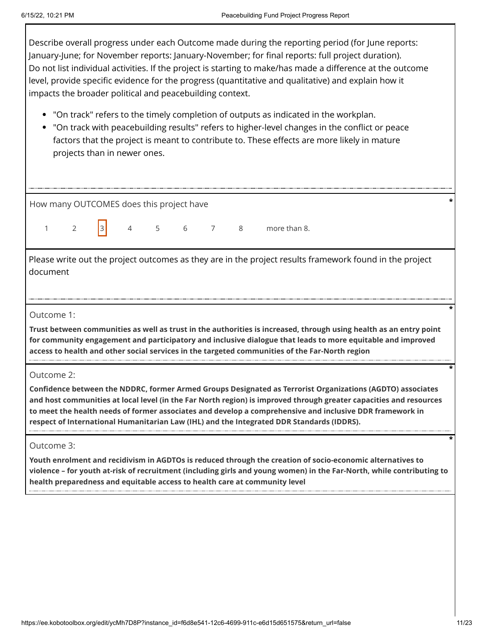Describe overall progress under each Outcome made during the reporting period (for June reports: January-June; for November reports: January-November; for final reports: full project duration). Do not list individual activities. If the project is starting to make/has made a difference at the outcome level, provide specific evidence for the progress (quantitative and qualitative) and explain how it impacts the broader political and peacebuilding context.

- "On track" refers to the timely completion of outputs as indicated in the workplan.
- "On track with peacebuilding results" refers to higher-level changes in the conflict or peace factors that the project is meant to contribute to. These effects are more likely in mature projects than in newer ones.

| How many OUTCOMES does this project have |  |  |  |  |  |  |  |                                |  |  |
|------------------------------------------|--|--|--|--|--|--|--|--------------------------------|--|--|
|                                          |  |  |  |  |  |  |  | $1 2$ 3 4 5 6 7 8 more than 8. |  |  |

Please write out the project outcomes as they are in the project results framework found in the project document

#### Outcome 1:

**Trust between communities as well as trust in the authorities is increased, through using health as an entry point for community engagement and participatory and inclusive dialogue that leads to more equitable and improved access to health and other social services in the targeted communities of the Far-North region**

#### Outcome 2:

**Confidence between the NDDRC, former Armed Groups Designated as Terrorist Organizations (AGDTO) associates and host communities at local level (in the Far North region) is improved through greater capacities and resources to meet the health needs of former associates and develop a comprehensive and inclusive DDR framework in respect of International Humanitarian Law (IHL) and the Integrated DDR Standards (IDDRS).**

#### Outcome 3:

**Youth enrolment and recidivism in AGDTOs is reduced through the creation of socio-economic alternatives to violence – for youth at-risk of recruitment (including girls and young women) in the Far-North, while contributing to health preparedness and equitable access to health care at community level**

**\***

**\***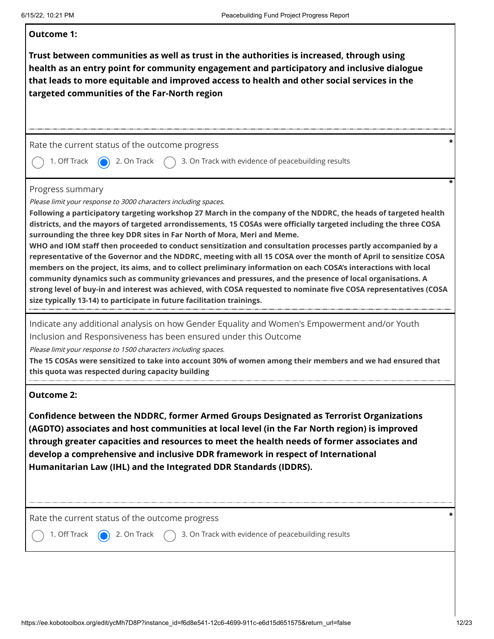| <b>Outcome 1:</b>                                                                                                                                                                                                                                                                                                                                                                                                                                                                                                                                                                                                                                                                                                                                                                                                                                                                                                                                                                                                                                                          |
|----------------------------------------------------------------------------------------------------------------------------------------------------------------------------------------------------------------------------------------------------------------------------------------------------------------------------------------------------------------------------------------------------------------------------------------------------------------------------------------------------------------------------------------------------------------------------------------------------------------------------------------------------------------------------------------------------------------------------------------------------------------------------------------------------------------------------------------------------------------------------------------------------------------------------------------------------------------------------------------------------------------------------------------------------------------------------|
| Trust between communities as well as trust in the authorities is increased, through using<br>health as an entry point for community engagement and participatory and inclusive dialogue<br>that leads to more equitable and improved access to health and other social services in the<br>targeted communities of the Far-North region                                                                                                                                                                                                                                                                                                                                                                                                                                                                                                                                                                                                                                                                                                                                     |
|                                                                                                                                                                                                                                                                                                                                                                                                                                                                                                                                                                                                                                                                                                                                                                                                                                                                                                                                                                                                                                                                            |
| Rate the current status of the outcome progress                                                                                                                                                                                                                                                                                                                                                                                                                                                                                                                                                                                                                                                                                                                                                                                                                                                                                                                                                                                                                            |
| 1. Off Track<br>2. On Track<br>3. On Track with evidence of peacebuilding results                                                                                                                                                                                                                                                                                                                                                                                                                                                                                                                                                                                                                                                                                                                                                                                                                                                                                                                                                                                          |
| Progress summary<br>Please limit your response to 3000 characters including spaces.<br>Following a participatory targeting workshop 27 March in the company of the NDDRC, the heads of targeted health<br>districts, and the mayors of targeted arrondissements, 15 COSAs were officially targeted including the three COSA<br>surrounding the three key DDR sites in Far North of Mora, Meri and Meme.<br>WHO and IOM staff then proceeded to conduct sensitization and consultation processes partly accompanied by a<br>representative of the Governor and the NDDRC, meeting with all 15 COSA over the month of April to sensitize COSA<br>members on the project, its aims, and to collect preliminary information on each COSA's interactions with local<br>community dynamics such as community grievances and pressures, and the presence of local organisations. A<br>strong level of buy-in and interest was achieved, with COSA requested to nominate five COSA representatives (COSA<br>size typically 13-14) to participate in future facilitation trainings. |
| Indicate any additional analysis on how Gender Equality and Women's Empowerment and/or Youth<br>Inclusion and Responsiveness has been ensured under this Outcome<br>Please limit your response to 1500 characters including spaces.<br>The 15 COSAs were sensitized to take into account 30% of women among their members and we had ensured that<br>this quota was respected during capacity building                                                                                                                                                                                                                                                                                                                                                                                                                                                                                                                                                                                                                                                                     |
| <b>Outcome 2:</b><br>Confidence between the NDDRC, former Armed Groups Designated as Terrorist Organizations<br>(AGDTO) associates and host communities at local level (in the Far North region) is improved<br>through greater capacities and resources to meet the health needs of former associates and<br>develop a comprehensive and inclusive DDR framework in respect of International                                                                                                                                                                                                                                                                                                                                                                                                                                                                                                                                                                                                                                                                              |
| Humanitarian Law (IHL) and the Integrated DDR Standards (IDDRS).<br>Rate the current status of the outcome progress                                                                                                                                                                                                                                                                                                                                                                                                                                                                                                                                                                                                                                                                                                                                                                                                                                                                                                                                                        |
| 3. On Track with evidence of peacebuilding results<br>1. Off Track<br>2. On Track                                                                                                                                                                                                                                                                                                                                                                                                                                                                                                                                                                                                                                                                                                                                                                                                                                                                                                                                                                                          |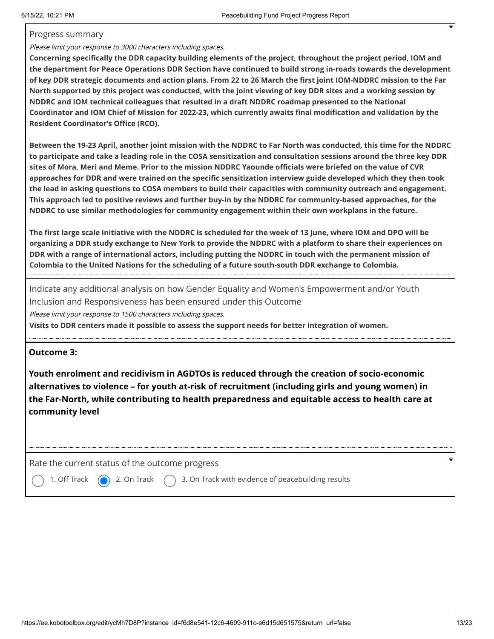#### Progress summary

#### Please limit your response to 3000 characters including spaces.

**Concerning specifically the DDR capacity building elements of the project, throughout the project period, IOM and the department for Peace Operations DDR Section have continued to build strong in-roads towards the development of key DDR strategic documents and action plans. From 22 to 26 March the first joint IOM-NDDRC mission to the Far North supported by this project was conducted, with the joint viewing of key DDR sites and a working session by NDDRC and IOM technical colleagues that resulted in a draft NDDRC roadmap presented to the National Coordinator and IOM Chief of Mission for 2022-23, which currently awaits final modification and validation by the Resident Coordinator's Office (RCO).** 

**Between the 19-23 April, another joint mission with the NDDRC to Far North was conducted, this time for the NDDRC to participate and take a leading role in the COSA sensitization and consultation sessions around the three key DDR sites of Mora, Meri and Meme. Prior to the mission NDDRC Yaounde officials were briefed on the value of CVR approaches for DDR and were trained on the specific sensitization interview guide developed which they then took the lead in asking questions to COSA members to build their capacities with community outreach and engagement. This approach led to positive reviews and further buy-in by the NDDRC for community-based approaches, for the NDDRC to use similar methodologies for community engagement within their own workplans in the future.** 

**The first large scale initiative with the NDDRC is scheduled for the week of 13 June, where IOM and DPO will be organizing a DDR study exchange to New York to provide the NDDRC with a platform to share their experiences on DDR with a range of international actors, including putting the NDDRC in touch with the permanent mission of Colombia to the United Nations for the scheduling of a future south-south DDR exchange to Colombia.**

Indicate any additional analysis on how Gender Equality and Women's Empowerment and/or Youth Inclusion and Responsiveness has been ensured under this Outcome

Please limit your response to 1500 characters including spaces.

**Visits to DDR centers made it possible to assess the support needs for better integration of women.**

#### **Outcome 3:**

**Youth enrolment and recidivism in AGDTOs is reduced through the creation of socio-economic alternatives to violence – for youth at-risk of recruitment (including girls and young women) in the Far-North, while contributing to health preparedness and equitable access to health care at community level**

Rate the current status of the outcome progress **\***

1. Off Track  $\qquad \qquad$  2. On Track  $\qquad$  3. On Track with evidence of peacebuilding results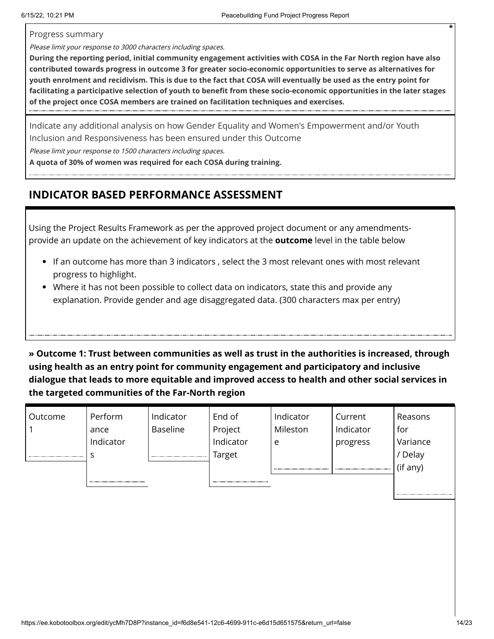Progress summary

Please limit your response to 3000 characters including spaces.

**During the reporting period, initial community engagement activities with COSA in the Far North region have also contributed towards progress in outcome 3 for greater socio-economic opportunities to serve as alternatives for youth enrolment and recidivism. This is due to the fact that COSA will eventually be used as the entry point for facilitating a participative selection of youth to benefit from these socio-economic opportunities in the later stages of the project once COSA members are trained on facilitation techniques and exercises.**

Indicate any additional analysis on how Gender Equality and Women's Empowerment and/or Youth Inclusion and Responsiveness has been ensured under this Outcome

Please limit your response to 1500 characters including spaces.

**A quota of 30% of women was required for each COSA during training.**

### **INDICATOR BASED PERFORMANCE ASSESSMENT**

Using the Project Results Framework as per the approved project document or any amendmentsprovide an update on the achievement of key indicators at the **outcome** level in the table below

- If an outcome has more than 3 indicators , select the 3 most relevant ones with most relevant progress to highlight.
- Where it has not been possible to collect data on indicators, state this and provide any explanation. Provide gender and age disaggregated data. (300 characters max per entry)

**» Outcome 1: Trust between communities as well as trust in the authorities is increased, through using health as an entry point for community engagement and participatory and inclusive dialogue that leads to more equitable and improved access to health and other social services in the targeted communities of the Far-North region**

| Outcome | Perform   | Indicator       | End of    | Indicator             | Current   | Reasons  |
|---------|-----------|-----------------|-----------|-----------------------|-----------|----------|
|         | ance      | <b>Baseline</b> | Project   | Mileston              | Indicator | for      |
|         | Indicator |                 | Indicator | e                     | progress  | Variance |
|         |           |                 | Target    |                       |           | Delay    |
|         |           |                 |           | --------------------- |           | (if any) |
|         |           |                 |           |                       |           |          |
|         |           |                 |           |                       |           |          |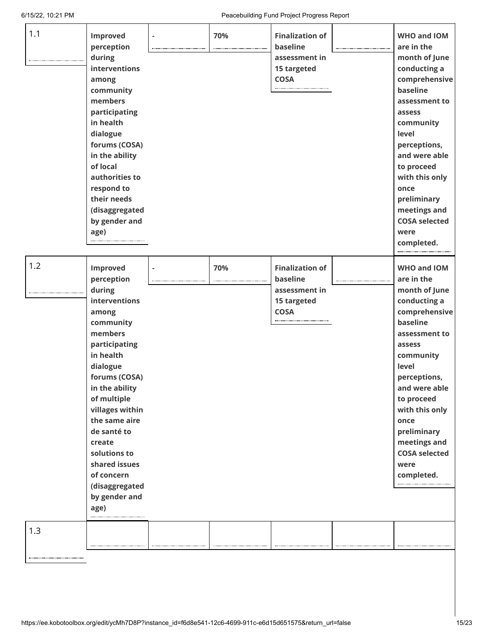6/15/22, 10:21 PM Peacebuilding Fund Project Progress Report

| 1.1 | Improved<br>perception<br>during<br>interventions<br>among<br>community<br>members<br>participating<br>in health<br>dialogue<br>forums (COSA)<br>in the ability<br>of local<br>authorities to<br>respond to<br>their needs<br>(disaggregated<br>by gender and<br>age)                                                                 | 70% | <b>Finalization of</b><br>baseline<br>assessment in<br>15 targeted<br><b>COSA</b> | <b>WHO and IOM</b><br>are in the<br>month of June<br>conducting a<br>comprehensive<br>baseline<br>assessment to<br>assess<br>community<br>level<br>perceptions,<br>and were able<br>to proceed<br>with this only<br>once<br>preliminary<br>meetings and<br><b>COSA selected</b><br>were<br>completed. |
|-----|---------------------------------------------------------------------------------------------------------------------------------------------------------------------------------------------------------------------------------------------------------------------------------------------------------------------------------------|-----|-----------------------------------------------------------------------------------|-------------------------------------------------------------------------------------------------------------------------------------------------------------------------------------------------------------------------------------------------------------------------------------------------------|
| 1.2 | Improved<br>perception<br>during<br>interventions<br>among<br>community<br>members<br>participating<br>in health<br>dialogue<br>forums (COSA)<br>in the ability<br>of multiple<br>villages within<br>the same aire<br>de santé to<br>create<br>solutions to<br>shared issues<br>of concern<br>(disaggregated<br>by gender and<br>age) | 70% | <b>Finalization of</b><br>baseline<br>assessment in<br>15 targeted<br><b>COSA</b> | <b>WHO and IOM</b><br>are in the<br>month of June<br>conducting a<br>comprehensive<br>baseline<br>assessment to<br>assess<br>community<br>level<br>perceptions,<br>and were able<br>to proceed<br>with this only<br>once<br>preliminary<br>meetings and<br><b>COSA selected</b><br>were<br>completed. |
| 1.3 |                                                                                                                                                                                                                                                                                                                                       |     |                                                                                   |                                                                                                                                                                                                                                                                                                       |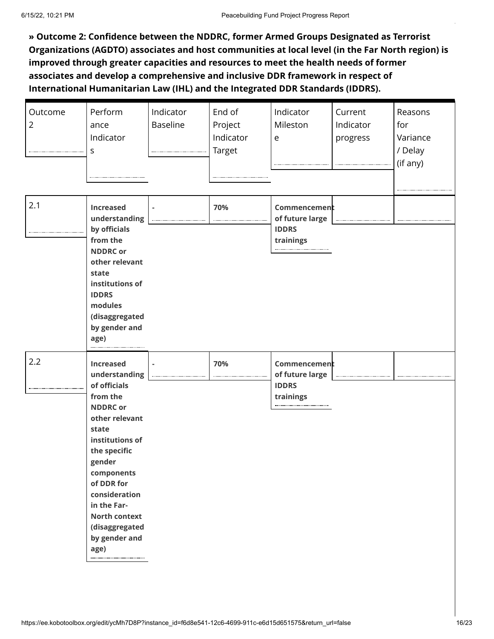**» Outcome 2: Confidence between the NDDRC, former Armed Groups Designated as Terrorist Organizations (AGDTO) associates and host communities at local level (in the Far North region) is improved through greater capacities and resources to meet the health needs of former associates and develop a comprehensive and inclusive DDR framework in respect of International Humanitarian Law (IHL) and the Integrated DDR Standards (IDDRS).**

| Outcome<br>$\overline{2}$<br> | Perform<br>ance<br>Indicator<br>S                                                                                                                                                                                                                                                       | Indicator<br>Baseline | End of<br>Project<br>Indicator<br>Target | Indicator<br>Mileston<br>e                                       | Current<br>Indicator<br>progress | Reasons<br>for<br>Variance<br>/ Delay<br>(if any) |
|-------------------------------|-----------------------------------------------------------------------------------------------------------------------------------------------------------------------------------------------------------------------------------------------------------------------------------------|-----------------------|------------------------------------------|------------------------------------------------------------------|----------------------------------|---------------------------------------------------|
| 2.1                           | <b>Increased</b><br>understanding<br>by officials<br>from the<br><b>NDDRC</b> or<br>other relevant<br>state<br>institutions of<br><b>IDDRS</b><br>modules<br>(disaggregated<br>by gender and<br>age)                                                                                    |                       | 70%                                      | Commencement<br>of future large<br><b>IDDRS</b><br>trainings<br> |                                  |                                                   |
| 2.2                           | <b>Increased</b><br>understanding<br>of officials<br>from the<br><b>NDDRC</b> or<br>other relevant<br>state<br>institutions of<br>the specific<br>gender<br>components<br>of DDR for<br>consideration<br>in the Far-<br><b>North context</b><br>(disaggregated<br>by gender and<br>age) |                       | 70%                                      | Commencement<br>of future large<br><b>IDDRS</b><br>trainings     |                                  |                                                   |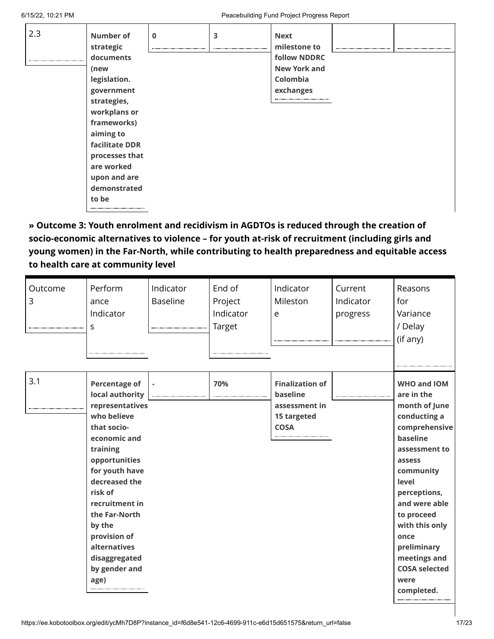| 2.3 | Number of<br>strategic | $\mathbf 0$ | 3 | <b>Next</b><br>milestone to |  |
|-----|------------------------|-------------|---|-----------------------------|--|
|     | documents              |             |   | <b>follow NDDRC</b>         |  |
|     | (new                   |             |   | <b>New York and</b>         |  |
|     | legislation.           |             |   | Colombia                    |  |
|     | government             |             |   | exchanges                   |  |
|     | strategies,            |             |   |                             |  |
|     | workplans or           |             |   |                             |  |
|     | frameworks)            |             |   |                             |  |
|     | aiming to              |             |   |                             |  |
|     | facilitate DDR         |             |   |                             |  |
|     | processes that         |             |   |                             |  |
|     | are worked             |             |   |                             |  |
|     | upon and are           |             |   |                             |  |
|     | demonstrated           |             |   |                             |  |
|     | to be                  |             |   |                             |  |
|     |                        |             |   |                             |  |

**» Outcome 3: Youth enrolment and recidivism in AGDTOs is reduced through the creation of socio-economic alternatives to violence – for youth at-risk of recruitment (including girls and young women) in the Far-North, while contributing to health preparedness and equitable access to health care at community level**

| Outcome<br>3 | Perform<br>ance<br>Indicator<br>S                                                                                                                                                                                                                                                                          | Indicator<br><b>Baseline</b> | End of<br>Project<br>Indicator<br><b>Target</b> | Indicator<br>Mileston<br>e                                                        | Current<br>Indicator<br>progress | Reasons<br>for<br>Variance<br>/ Delay<br>(if any)                                                                                                                                                                                                                                              |
|--------------|------------------------------------------------------------------------------------------------------------------------------------------------------------------------------------------------------------------------------------------------------------------------------------------------------------|------------------------------|-------------------------------------------------|-----------------------------------------------------------------------------------|----------------------------------|------------------------------------------------------------------------------------------------------------------------------------------------------------------------------------------------------------------------------------------------------------------------------------------------|
| 3.1          | <b>Percentage of</b><br>local authority<br>representatives<br>who believe<br>that socio-<br>economic and<br>training<br>opportunities<br>for youth have<br>decreased the<br>risk of<br>recruitment in<br>the Far-North<br>by the<br>provision of<br>alternatives<br>disaggregated<br>by gender and<br>age) |                              | 70%                                             | <b>Finalization of</b><br>baseline<br>assessment in<br>15 targeted<br><b>COSA</b> |                                  | WHO and IOM<br>are in the<br>month of June<br>conducting a<br>comprehensive<br>baseline<br>assessment to<br>assess<br>community<br>level<br>perceptions,<br>and were able<br>to proceed<br>with this only<br>once<br>preliminary<br>meetings and<br><b>COSA selected</b><br>were<br>completed. |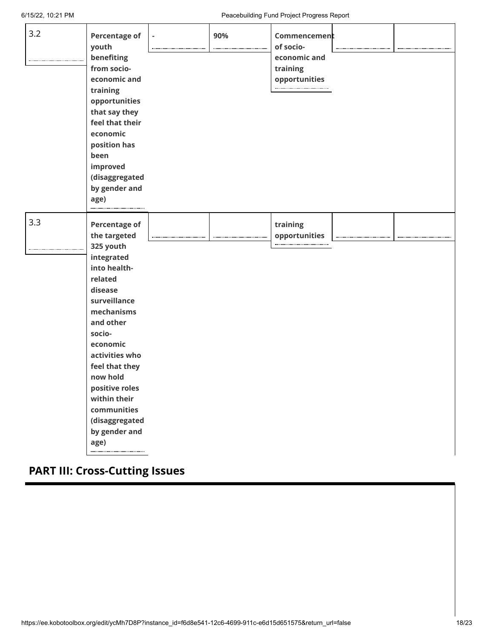| 3.2 | <b>Percentage of</b><br>youth<br>benefiting<br>from socio-<br>economic and<br>training<br>opportunities<br>that say they<br>feel that their<br>economic<br>position has<br>been<br>improved<br>(disaggregated<br>by gender and<br>age)                                                                             | 90% | Commencement<br>of socio-<br>economic and<br>training<br>opportunities<br> |  |
|-----|--------------------------------------------------------------------------------------------------------------------------------------------------------------------------------------------------------------------------------------------------------------------------------------------------------------------|-----|----------------------------------------------------------------------------|--|
| 3.3 | <b>Percentage of</b><br>the targeted<br>325 youth<br>integrated<br>into health-<br>related<br>disease<br>surveillance<br>mechanisms<br>and other<br>socio-<br>economic<br>activities who<br>feel that they<br>now hold<br>positive roles<br>within their<br>communities<br>(disaggregated<br>by gender and<br>age) |     | training<br>opportunities                                                  |  |

## **PART III: Cross-Cutting Issues**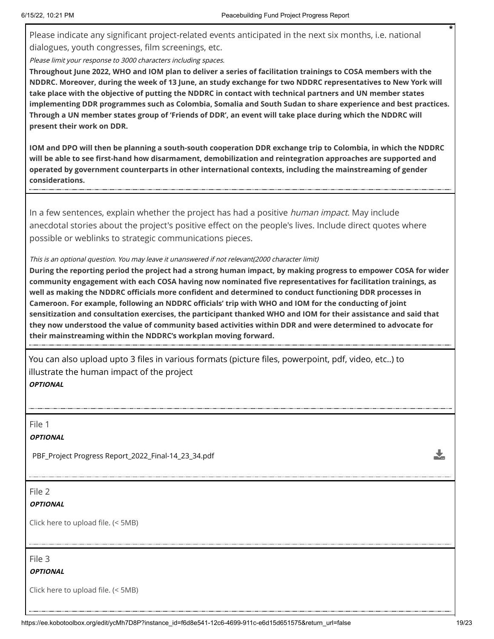Please indicate any significant project-related events anticipated in the next six months, i.e. national dialogues, youth congresses, film screenings, etc.

Please limit your response to 3000 characters including spaces.

**Throughout June 2022, WHO and IOM plan to deliver a series of facilitation trainings to COSA members with the NDDRC. Moreover, during the week of 13 June, an study exchange for two NDDRC representatives to New York will take place with the objective of putting the NDDRC in contact with technical partners and UN member states implementing DDR programmes such as Colombia, Somalia and South Sudan to share experience and best practices. Through a UN member states group of 'Friends of DDR', an event will take place during which the NDDRC will present their work on DDR.**

**IOM and DPO will then be planning a south-south cooperation DDR exchange trip to Colombia, in which the NDDRC will be able to see first-hand how disarmament, demobilization and reintegration approaches are supported and operated by government counterparts in other international contexts, including the mainstreaming of gender considerations.**

In a few sentences, explain whether the project has had a positive *human impact*. May include anecdotal stories about the project's positive effect on the people's lives. Include direct quotes where possible or weblinks to strategic communications pieces.

#### This is an optional question. You may leave it unanswered if not relevant(2000 character limit)

**During the reporting period the project had a strong human impact, by making progress to empower COSA for wider community engagement with each COSA having now nominated five representatives for facilitation trainings, as well as making the NDDRC officials more confident and determined to conduct functioning DDR processes in Cameroon. For example, following an NDDRC officials' trip with WHO and IOM for the conducting of joint sensitization and consultation exercises, the participant thanked WHO and IOM for their assistance and said that they now understood the value of community based activities within DDR and were determined to advocate for their mainstreaming within the NDDRC's workplan moving forward.**

You can also upload upto 3 files in various formats (picture files, powerpoint, pdf, video, etc..) to illustrate the human impact of the project **OPTIONAL**

File 1

**OPTIONAL**

PBF\_Project Progress Report\_2022\_Final-14\_23\_34.pdf

File 2

#### **OPTIONAL**

Click here to upload file. (< 5MB)

File 3

**OPTIONAL**

Click here to upload file. (< 5MB)

Ÿ.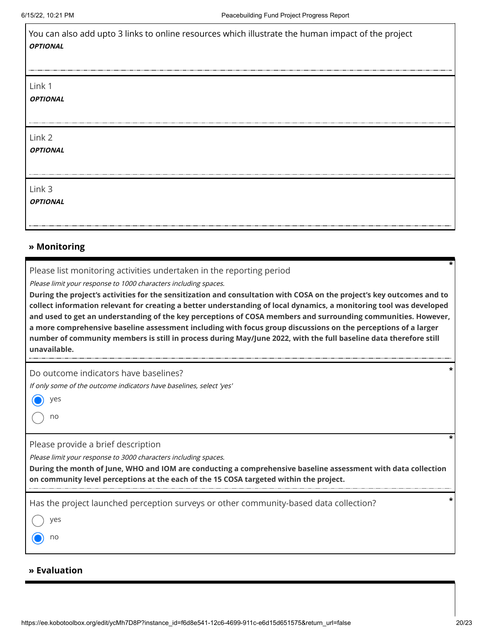| <b>OPTIONAL</b>           | You can also add upto 3 links to online resources which illustrate the human impact of the project |
|---------------------------|----------------------------------------------------------------------------------------------------|
| Link 1<br><b>OPTIONAL</b> |                                                                                                    |
| Link 2<br><b>OPTIONAL</b> |                                                                                                    |
| Link 3<br><b>OPTIONAL</b> |                                                                                                    |

#### **» Monitoring**

Please list monitoring activities undertaken in the reporting period

Please limit your response to 1000 characters including spaces.

**During the project's activities for the sensitization and consultation with COSA on the project's key outcomes and to collect information relevant for creating a better understanding of local dynamics, a monitoring tool was developed and used to get an understanding of the key perceptions of COSA members and surrounding communities. However, a more comprehensive baseline assessment including with focus group discussions on the perceptions of a larger number of community members is still in process during May/June 2022, with the full baseline data therefore still unavailable.**

Do outcome indicators have baselines?

If only some of the outcome indicators have baselines, select 'yes'

yes

no

Please provide a brief description

Please limit your response to 3000 characters including spaces.

**During the month of June, WHO and IOM are conducting a comprehensive baseline assessment with data collection on community level perceptions at the each of the 15 COSA targeted within the project.**

Has the project launched perception surveys or other community-based data collection? **\***

yes

no

#### **» Evaluation**

**\***

**\***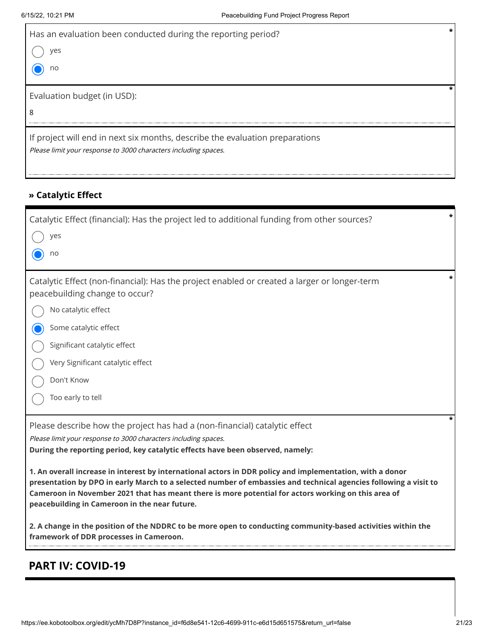| Has an evaluation been conducted during the reporting period?<br>ves<br>no                                                                      |  |
|-------------------------------------------------------------------------------------------------------------------------------------------------|--|
| Evaluation budget (in USD):<br>8                                                                                                                |  |
| If project will end in next six months, describe the evaluation preparations<br>Please limit your response to 3000 characters including spaces. |  |

### **» Catalytic Effect**

| Catalytic Effect (financial): Has the project led to additional funding from other sources?                                                                                                                                                                                                                                                                                           | $\star$ |  |  |  |  |
|---------------------------------------------------------------------------------------------------------------------------------------------------------------------------------------------------------------------------------------------------------------------------------------------------------------------------------------------------------------------------------------|---------|--|--|--|--|
| yes                                                                                                                                                                                                                                                                                                                                                                                   |         |  |  |  |  |
| no                                                                                                                                                                                                                                                                                                                                                                                    |         |  |  |  |  |
| Catalytic Effect (non-financial): Has the project enabled or created a larger or longer-term<br>peacebuilding change to occur?                                                                                                                                                                                                                                                        | *       |  |  |  |  |
| No catalytic effect                                                                                                                                                                                                                                                                                                                                                                   |         |  |  |  |  |
| Some catalytic effect                                                                                                                                                                                                                                                                                                                                                                 |         |  |  |  |  |
| Significant catalytic effect                                                                                                                                                                                                                                                                                                                                                          |         |  |  |  |  |
| Very Significant catalytic effect                                                                                                                                                                                                                                                                                                                                                     |         |  |  |  |  |
| Don't Know                                                                                                                                                                                                                                                                                                                                                                            |         |  |  |  |  |
| Too early to tell                                                                                                                                                                                                                                                                                                                                                                     |         |  |  |  |  |
| Please describe how the project has had a (non-financial) catalytic effect<br>Please limit your response to 3000 characters including spaces.<br>During the reporting period, key catalytic effects have been observed, namely:                                                                                                                                                       |         |  |  |  |  |
| 1. An overall increase in interest by international actors in DDR policy and implementation, with a donor<br>presentation by DPO in early March to a selected number of embassies and technical agencies following a visit to<br>Cameroon in November 2021 that has meant there is more potential for actors working on this area of<br>peacebuilding in Cameroon in the near future. |         |  |  |  |  |
| 2. A change in the position of the NDDRC to be more open to conducting community-based activities within the<br>framework of DDR processes in Cameroon.                                                                                                                                                                                                                               |         |  |  |  |  |

## **PART IV: COVID-19**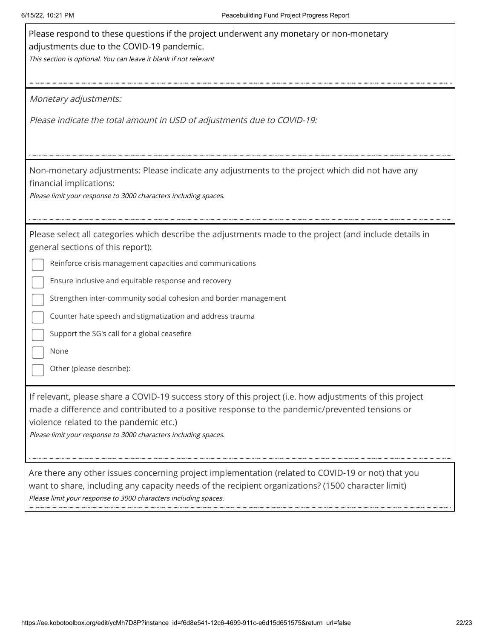| Please respond to these questions if the project underwent any monetary or non-monetary<br>adjustments due to the COVID-19 pandemic.<br>This section is optional. You can leave it blank if not relevant                                                                                                                                                                                                                                                                               |
|----------------------------------------------------------------------------------------------------------------------------------------------------------------------------------------------------------------------------------------------------------------------------------------------------------------------------------------------------------------------------------------------------------------------------------------------------------------------------------------|
| Monetary adjustments:                                                                                                                                                                                                                                                                                                                                                                                                                                                                  |
| Please indicate the total amount in USD of adjustments due to COVID-19:                                                                                                                                                                                                                                                                                                                                                                                                                |
| Non-monetary adjustments: Please indicate any adjustments to the project which did not have any<br>financial implications:<br>Please limit your response to 3000 characters including spaces.                                                                                                                                                                                                                                                                                          |
| Please select all categories which describe the adjustments made to the project (and include details in<br>general sections of this report):<br>Reinforce crisis management capacities and communications<br>Ensure inclusive and equitable response and recovery<br>Strengthen inter-community social cohesion and border management<br>Counter hate speech and stigmatization and address trauma<br>Support the SG's call for a global ceasefire<br>None<br>Other (please describe): |
| If relevant, please share a COVID-19 success story of this project (i.e. how adjustments of this project<br>made a difference and contributed to a positive response to the pandemic/prevented tensions or<br>violence related to the pandemic etc.)<br>Please limit your response to 3000 characters including spaces.                                                                                                                                                                |
| Are there any other issues concerning project implementation (related to COVID-19 or not) that you<br>want to share, including any capacity needs of the recipient organizations? (1500 character limit)<br>Please limit your response to 3000 characters including spaces.                                                                                                                                                                                                            |